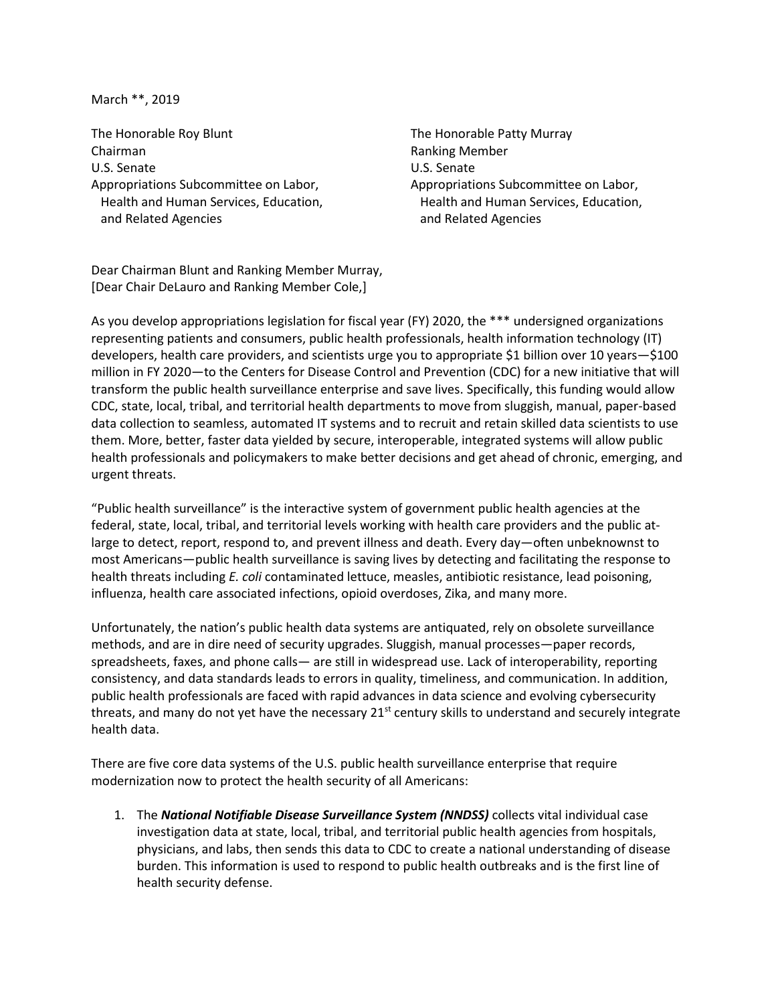March \*\*, 2019

The Honorable Roy Blunt The Honorable Patty Murray Chairman Ranking Member U.S. Senate U.S. Senate Appropriations Subcommittee on Labor, Appropriations Subcommittee on Labor, and Related Agencies and Related Agencies

Health and Human Services, Education, Health and Human Services, Education,

Dear Chairman Blunt and Ranking Member Murray, [Dear Chair DeLauro and Ranking Member Cole,]

As you develop appropriations legislation for fiscal year (FY) 2020, the \*\*\* undersigned organizations representing patients and consumers, public health professionals, health information technology (IT) developers, health care providers, and scientists urge you to appropriate \$1 billion over 10 years—\$100 million in FY 2020—to the Centers for Disease Control and Prevention (CDC) for a new initiative that will transform the public health surveillance enterprise and save lives. Specifically, this funding would allow CDC, state, local, tribal, and territorial health departments to move from sluggish, manual, paper-based data collection to seamless, automated IT systems and to recruit and retain skilled data scientists to use them. More, better, faster data yielded by secure, interoperable, integrated systems will allow public health professionals and policymakers to make better decisions and get ahead of chronic, emerging, and urgent threats.

"Public health surveillance" is the interactive system of government public health agencies at the federal, state, local, tribal, and territorial levels working with health care providers and the public atlarge to detect, report, respond to, and prevent illness and death. Every day—often unbeknownst to most Americans—public health surveillance is saving lives by detecting and facilitating the response to health threats including *E. coli* contaminated lettuce, measles, antibiotic resistance, lead poisoning, influenza, health care associated infections, opioid overdoses, Zika, and many more.

Unfortunately, the nation's public health data systems are antiquated, rely on obsolete surveillance methods, and are in dire need of security upgrades. Sluggish, manual processes—paper records, spreadsheets, faxes, and phone calls— are still in widespread use. Lack of interoperability, reporting consistency, and data standards leads to errors in quality, timeliness, and communication. In addition, public health professionals are faced with rapid advances in data science and evolving cybersecurity threats, and many do not yet have the necessary  $21<sup>st</sup>$  century skills to understand and securely integrate health data.

There are five core data systems of the U.S. public health surveillance enterprise that require modernization now to protect the health security of all Americans:

1. The *National Notifiable Disease Surveillance System (NNDSS)* collects vital individual case investigation data at state, local, tribal, and territorial public health agencies from hospitals, physicians, and labs, then sends this data to CDC to create a national understanding of disease burden. This information is used to respond to public health outbreaks and is the first line of health security defense.